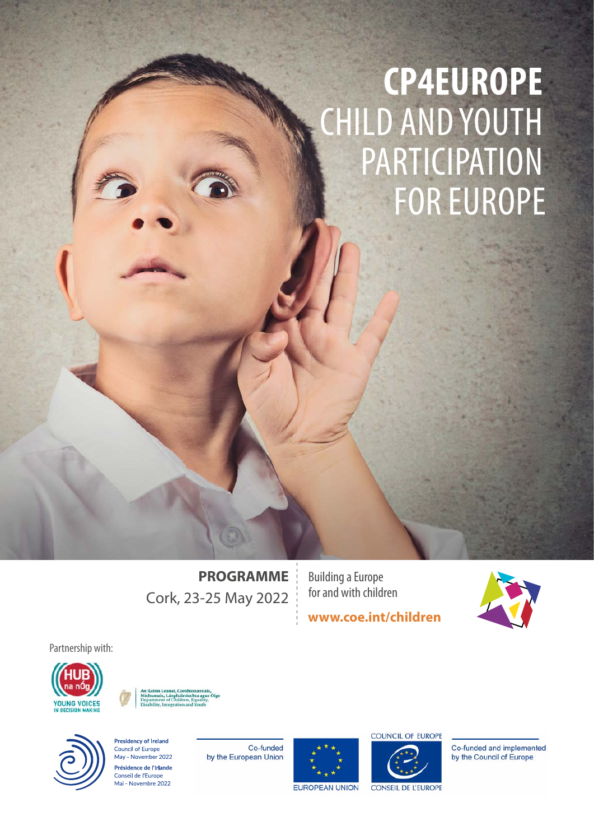# **CP4EUROPE** CHILD AND YOUTH PARTICIPATION FOR EUROPE

**PROGRAMME** Cork, 23-25 May 2022

Building a Europe for and with children

**[www.coe.int/children](http://www.coe.int/children)**



Partnership with:







**Presidency of Ireland**<br>Council of Europe May - November 2022 Présidence de l'Irlande Conseil de l'Europe Mai - Novembre 2022

Co-funded by the European Union





Co-funded and implemented by the Council of Europe

**CONSEIL DE L'EUROPE**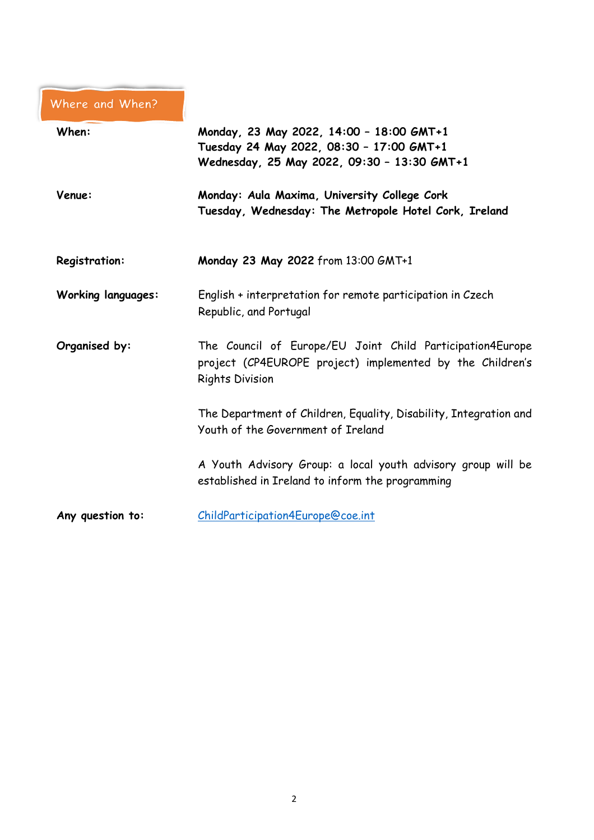# Where and When?

| When:                     | Monday, 23 May 2022, 14:00 - 18:00 GMT+1<br>Tuesday 24 May 2022, 08:30 - 17:00 GMT+1<br>Wednesday, 25 May 2022, 09:30 - 13:30 GMT+1              |
|---------------------------|--------------------------------------------------------------------------------------------------------------------------------------------------|
| Venue:                    | Monday: Aula Maxima, University College Cork<br>Tuesday, Wednesday: The Metropole Hotel Cork, Ireland                                            |
| <b>Registration:</b>      | Monday 23 May 2022 from 13:00 GMT+1                                                                                                              |
| <b>Working languages:</b> | English + interpretation for remote participation in Czech<br>Republic, and Portugal                                                             |
| Organised by:             | The Council of Europe/EU Joint Child Participation4Europe<br>project (CP4EUROPE project) implemented by the Children's<br><b>Rights Division</b> |
|                           | The Department of Children, Equality, Disability, Integration and<br>Youth of the Government of Ireland                                          |
|                           | A Youth Advisory Group: a local youth advisory group will be<br>established in Ireland to inform the programming                                 |
| Any question to:          | ChildParticipation4Europe@coe.int                                                                                                                |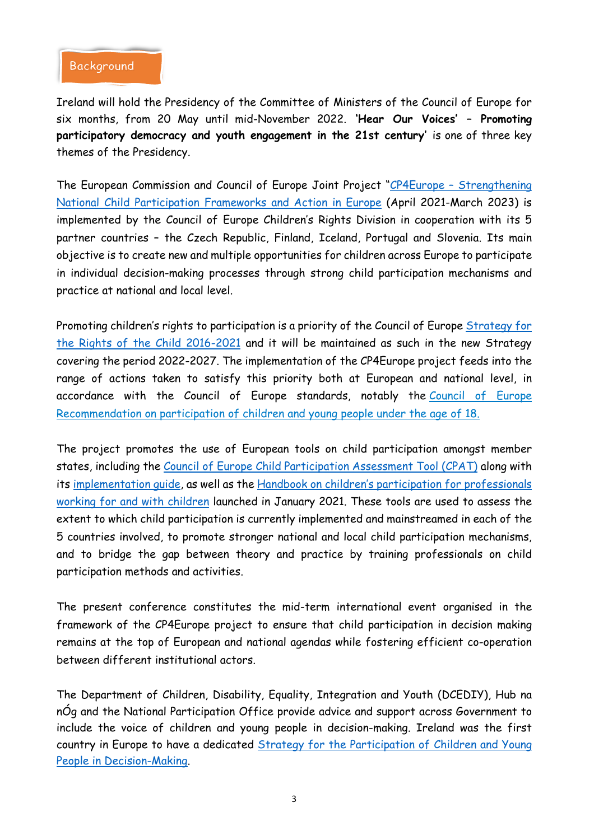#### **Background**

Ireland will hold the Presidency of the Committee of Ministers of the Council of Europe for six months, from 20 May until mid-November 2022. **'Hear Our Voices' – Promoting participatory democracy and youth engagement in the 21st century'** is one of three key themes of the Presidency.

The European Commission and Council of Europe Joint Project "CP4Europe - [Strengthening](https://www.coe.int/en/web/children/cp4europe) National Child [Participation](https://www.coe.int/en/web/children/cp4europe) Frameworks and Action in Europe (April 2021-March 2023) is implemented by the Council of Europe Children's Rights Division in cooperation with its 5 partner countries – the Czech Republic, Finland, Iceland, Portugal and Slovenia. Its main objective is to create new and multiple opportunities for children across Europe to participate in individual decision-making processes through strong child participation mechanisms and practice at national and local level.

Promoting children's rights to participation is a priority of the Council of Europe [Strategy](https://rm.coe.int/CoERMPublicCommonSearchServices/DisplayDCTMContent?documentId=090000168066cff8) for the Rights of the Child [2016-2021](https://rm.coe.int/CoERMPublicCommonSearchServices/DisplayDCTMContent?documentId=090000168066cff8) and it will be maintained as such in the new Strategy covering the period 2022-2027. The implementation of the CP4Europe project feeds into the range of actions taken to satisfy this priority both at European and national level, in accordance with the Council of Europe standards, notably the [Council](https://search.coe.int/cm/Pages/result_details.aspx?ObjectID=09000016805cb0ca) of Europe [Recommendation](https://search.coe.int/cm/Pages/result_details.aspx?ObjectID=09000016805cb0ca) on participation of children and young people under the age of 18.

The project promotes the use of European tools on child participation amongst member states, including the Council of Europe Child [Participation](https://rm.coe.int/CoERMPublicCommonSearchServices/DisplayDCTMContent?documentId=09000016806482d9) Assessment Tool (CPAT) along with its [implementation](https://rm.coe.int/CoERMPublicCommonSearchServices/DisplayDCTMContent?documentId=09000016806482da) guide, as well as the Handbook on children's participation for [professionals](https://www.coe.int/en/web/children/-/-listen-act-change-launch-of-a-new-council-of-europe-guide-on-children-s-participation?inheritRedirect=true&redirect=/en/web/children/child-participation-assessment-tool) working for and with [children](https://www.coe.int/en/web/children/-/-listen-act-change-launch-of-a-new-council-of-europe-guide-on-children-s-participation?inheritRedirect=true&redirect=/en/web/children/child-participation-assessment-tool) launched in January 2021. These tools are used to assess the extent to which child participation is currently implemented and mainstreamed in each of the 5 countries involved, to promote stronger national and local child participation mechanisms, and to bridge the gap between theory and practice by training professionals on child participation methods and activities.

The present conference constitutes the mid-term international event organised in the framework of the CP4Europe project to ensure that child participation in decision making remains at the top of European and national agendas while fostering efficient co-operation between different institutional actors.

The Department of Children, Disability, Equality, Integration and Youth (DCEDIY), Hub na nÓg and the National Participation Office provide advice and support across Government to include the voice of children and young people in decision-making. Ireland was the first country in Europe to have a dedicated Strategy for the [Participation](https://www.gov.ie/en/publication/9128db-national-strategy-on-children-and-young-peoples-participation-in-dec/) of Children and Young People in [Decision-Making.](https://www.gov.ie/en/publication/9128db-national-strategy-on-children-and-young-peoples-participation-in-dec/)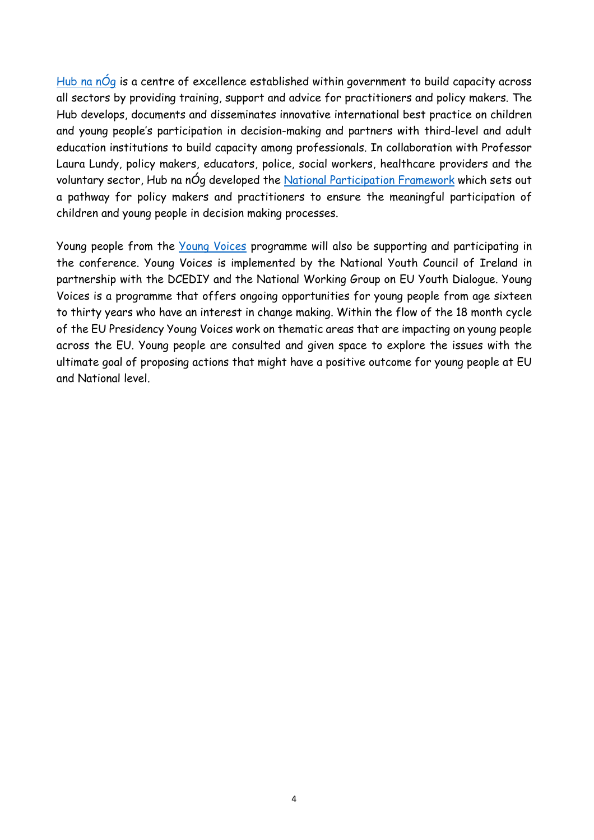[Hub](https://hubnanog.ie/) na  $n\acute{O}q$  is a centre of excellence established within government to build capacity across all sectors by providing training, support and advice for practitioners and policy makers. The Hub develops, documents and disseminates innovative international best practice on children and young people's participation in decision-making and partners with third-level and adult education institutions to build capacity among professionals. In collaboration with Professor Laura Lundy, policy makers, educators, police, social workers, healthcare providers and the voluntary sector, Hub na nÓg developed the National [Participation](https://hubnanog.ie/participation-framework/) Framework which sets out a pathway for policy makers and practitioners to ensure the meaningful participation of children and young people in decision making processes.

Young people from the Young [Voices](https://www.youth.ie/documents/this-is-young-voices-a-model-of-youth-democratic-engagement/) programme will also be supporting and participating in the conference. Young Voices is implemented by the National Youth Council of Ireland in partnership with the DCEDIY and the National Working Group on EU Youth Dialogue. Young Voices is a programme that offers ongoing opportunities for young people from age sixteen to thirty years who have an interest in change making. Within the flow of the 18 month cycle of the EU Presidency Young Voices work on thematic areas that are impacting on young people across the EU. Young people are consulted and given space to explore the issues with the ultimate goal of proposing actions that might have a positive outcome for young people at EU and National level.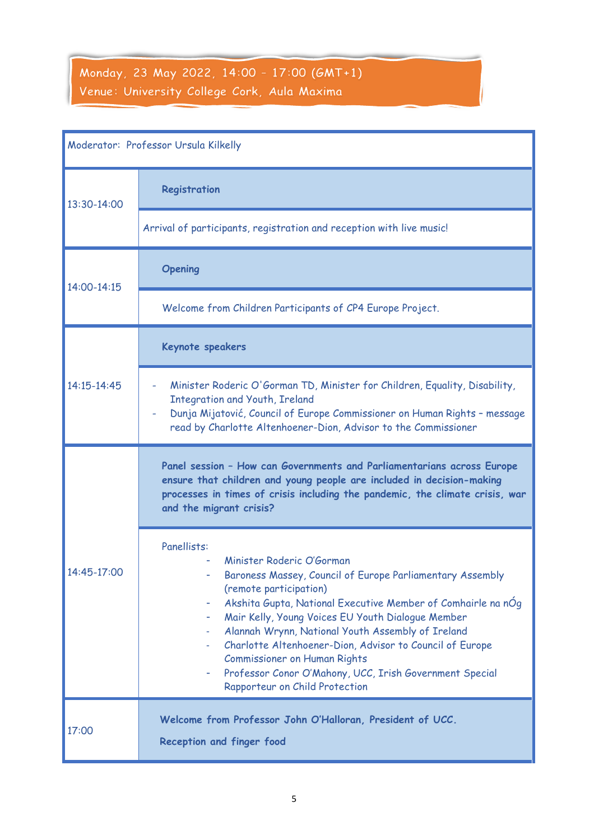## Monday, 23 May 2022, 14:00 - 17:00 (GMT+1) Venue: University College Cork, Aula Maxima

| Moderator: Professor Ursula Kilkelly |                                                                                                                                                                                                                                                                                                                                                                                                                                                                                                                          |
|--------------------------------------|--------------------------------------------------------------------------------------------------------------------------------------------------------------------------------------------------------------------------------------------------------------------------------------------------------------------------------------------------------------------------------------------------------------------------------------------------------------------------------------------------------------------------|
| 13:30-14:00                          | Registration                                                                                                                                                                                                                                                                                                                                                                                                                                                                                                             |
|                                      | Arrival of participants, registration and reception with live music!                                                                                                                                                                                                                                                                                                                                                                                                                                                     |
| 14:00-14:15                          | <b>Opening</b>                                                                                                                                                                                                                                                                                                                                                                                                                                                                                                           |
|                                      | Welcome from Children Participants of CP4 Europe Project.                                                                                                                                                                                                                                                                                                                                                                                                                                                                |
| 14:15-14:45                          | Keynote speakers                                                                                                                                                                                                                                                                                                                                                                                                                                                                                                         |
|                                      | Minister Roderic O'Gorman TD, Minister for Children, Equality, Disability,<br>÷,<br><b>Integration and Youth, Ireland</b><br>Dunja Mijatović, Council of Europe Commissioner on Human Rights - message<br>read by Charlotte Altenhoener-Dion, Advisor to the Commissioner                                                                                                                                                                                                                                                |
| 14:45-17:00                          | Panel session - How can Governments and Parliamentarians across Europe<br>ensure that children and young people are included in decision-making<br>processes in times of crisis including the pandemic, the climate crisis, war<br>and the migrant crisis?                                                                                                                                                                                                                                                               |
|                                      | Panellists:<br>Minister Roderic O'Gorman<br>Baroness Massey, Council of Europe Parliamentary Assembly<br>(remote participation)<br>Akshita Gupta, National Executive Member of Comhairle na nOg<br>۰<br>Mair Kelly, Young Voices EU Youth Dialogue Member<br>۰<br>Alannah Wrynn, National Youth Assembly of Ireland<br>Charlotte Altenhoener-Dion, Advisor to Council of Europe<br><b>Commissioner on Human Rights</b><br>Professor Conor O'Mahony, UCC, Irish Government Special<br>۰<br>Rapporteur on Child Protection |
| 17:00                                | Welcome from Professor John O'Halloran, President of UCC.<br>Reception and finger food                                                                                                                                                                                                                                                                                                                                                                                                                                   |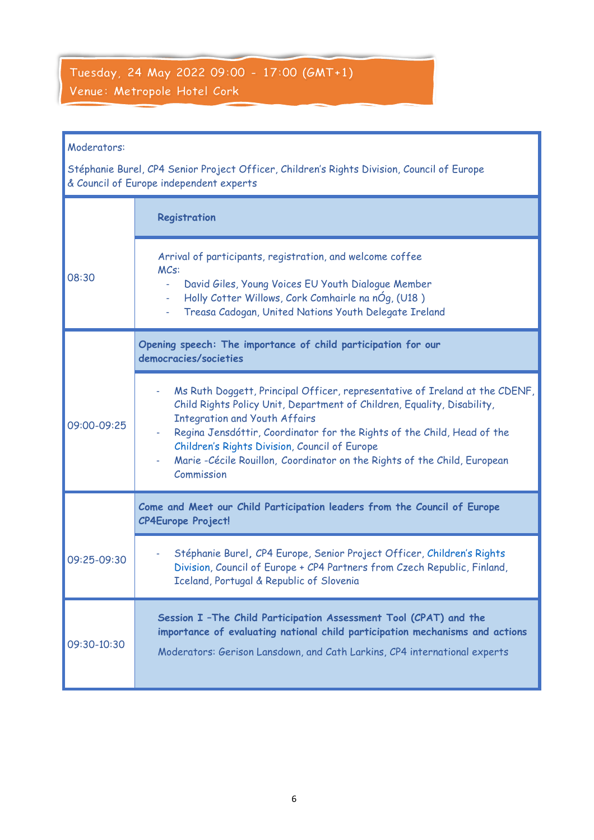### Tuesday, 24 May 2022 09:00 - 17:00 (GMT+1) Venue: Metropole Hotel Cork

#### Moderators:

Stéphanie Burel, CP4 Senior Project Officer, Children's Rights Division, Council of Europe & Council of Europe independent experts

|             | Registration                                                                                                                                                                                                                                                                                                                                                                                                          |
|-------------|-----------------------------------------------------------------------------------------------------------------------------------------------------------------------------------------------------------------------------------------------------------------------------------------------------------------------------------------------------------------------------------------------------------------------|
| 08:30       | Arrival of participants, registration, and welcome coffee<br>MCs:<br>David Giles, Young Voices EU Youth Dialogue Member<br>ä.<br>Holly Cotter Willows, Cork Comhairle na nÓg, (U18)<br>Treasa Cadogan, United Nations Youth Delegate Ireland                                                                                                                                                                          |
|             | Opening speech: The importance of child participation for our<br>democracies/societies                                                                                                                                                                                                                                                                                                                                |
| 09:00-09:25 | Ms Ruth Doggett, Principal Officer, representative of Ireland at the CDENF,<br>Child Rights Policy Unit, Department of Children, Equality, Disability,<br><b>Integration and Youth Affairs</b><br>Regina Jensdóttir, Coordinator for the Rights of the Child, Head of the<br>Children's Rights Division, Council of Europe<br>Marie - Cécile Rouillon, Coordinator on the Rights of the Child, European<br>Commission |
|             | Come and Meet our Child Participation leaders from the Council of Europe<br><b>CP4Europe Project!</b>                                                                                                                                                                                                                                                                                                                 |
| 09:25-09:30 | Stéphanie Burel, CP4 Europe, Senior Project Officer, Children's Rights<br>Division, Council of Europe + CP4 Partners from Czech Republic, Finland,<br>Iceland, Portugal & Republic of Slovenia                                                                                                                                                                                                                        |
| 09:30-10:30 | Session I - The Child Participation Assessment Tool (CPAT) and the<br>importance of evaluating national child participation mechanisms and actions<br>Moderators: Gerison Lansdown, and Cath Larkins, CP4 international experts                                                                                                                                                                                       |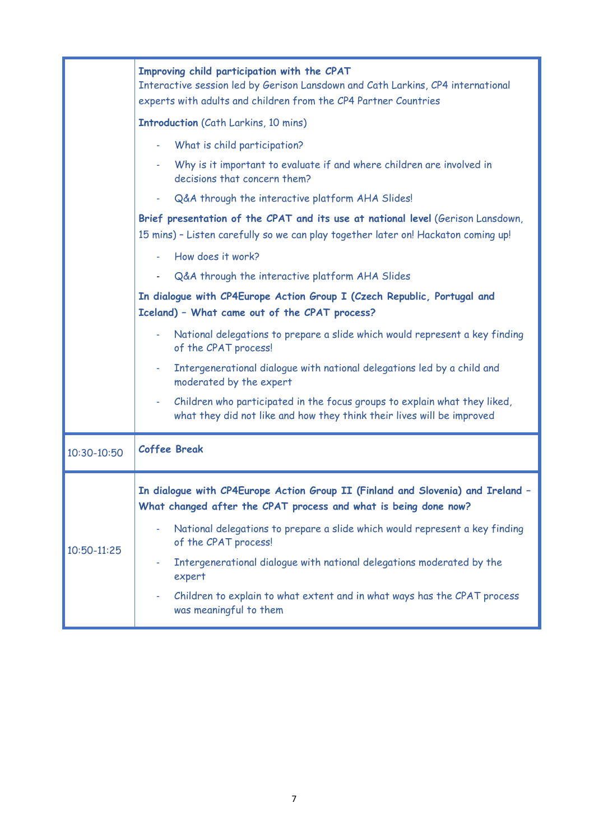|             | Improving child participation with the CPAT<br>Interactive session led by Gerison Lansdown and Cath Larkins, CP4 international<br>experts with adults and children from the CP4 Partner Countries |
|-------------|---------------------------------------------------------------------------------------------------------------------------------------------------------------------------------------------------|
|             | <b>Introduction</b> (Cath Larkins, 10 mins)                                                                                                                                                       |
|             | What is child participation?                                                                                                                                                                      |
|             | Why is it important to evaluate if and where children are involved in<br>decisions that concern them?                                                                                             |
|             | Q&A through the interactive platform AHA Slides!                                                                                                                                                  |
|             | Brief presentation of the CPAT and its use at national level (Gerison Lansdown,<br>15 mins) - Listen carefully so we can play together later on! Hackaton coming up!                              |
|             | How does it work?                                                                                                                                                                                 |
|             | Q&A through the interactive platform AHA Slides<br>$\sim 100$                                                                                                                                     |
|             | In dialogue with CP4Europe Action Group I (Czech Republic, Portugal and<br>Iceland) - What came out of the CPAT process?                                                                          |
|             | National delegations to prepare a slide which would represent a key finding<br>٠<br>of the CPAT process!                                                                                          |
|             | Intergenerational dialogue with national delegations led by a child and<br>٠<br>moderated by the expert                                                                                           |
|             | Children who participated in the focus groups to explain what they liked,<br>÷<br>what they did not like and how they think their lives will be improved                                          |
| 10:30-10:50 | <b>Coffee Break</b>                                                                                                                                                                               |
| 10:50-11:25 | In dialogue with CP4Europe Action Group II (Finland and Slovenia) and Ireland -<br>What changed after the CPAT process and what is being done now?                                                |
|             | National delegations to prepare a slide which would represent a key finding<br>of the CPAT process!                                                                                               |
|             | Intergenerational dialogue with national delegations moderated by the<br>٠<br>expert                                                                                                              |
|             | Children to explain to what extent and in what ways has the CPAT process<br>٠<br>was meaningful to them                                                                                           |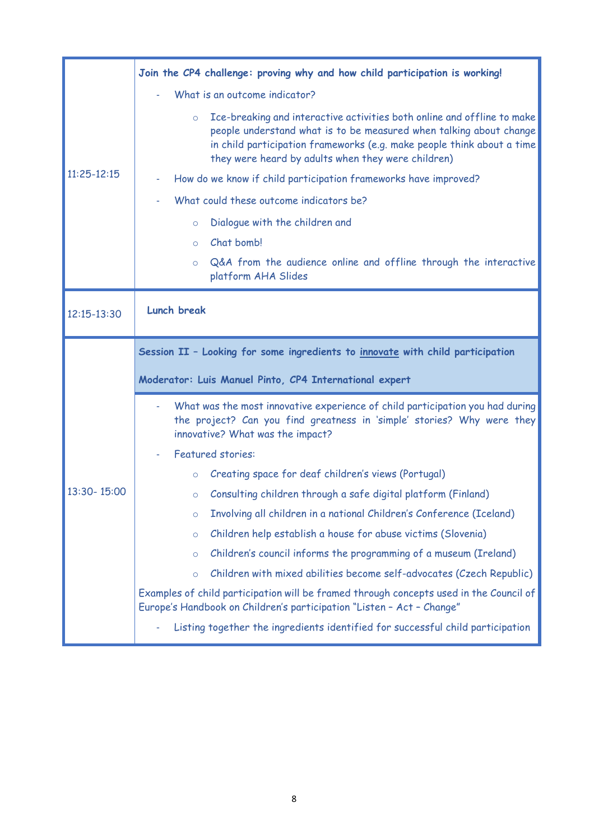| $11:25 - 12:15$ | Join the CP4 challenge: proving why and how child participation is working!                                                                                                                                                                                                              |
|-----------------|------------------------------------------------------------------------------------------------------------------------------------------------------------------------------------------------------------------------------------------------------------------------------------------|
|                 | What is an outcome indicator?                                                                                                                                                                                                                                                            |
|                 | Ice-breaking and interactive activities both online and offline to make<br>$\circ$<br>people understand what is to be measured when talking about change<br>in child participation frameworks (e.g. make people think about a time<br>they were heard by adults when they were children) |
|                 | How do we know if child participation frameworks have improved?                                                                                                                                                                                                                          |
|                 | What could these outcome indicators be?                                                                                                                                                                                                                                                  |
|                 | Dialogue with the children and<br>$\circ$                                                                                                                                                                                                                                                |
|                 | Chat bomb!<br>$\circ$                                                                                                                                                                                                                                                                    |
|                 | Q&A from the audience online and offline through the interactive<br>$\circ$<br>platform AHA Slides                                                                                                                                                                                       |
| 12:15-13:30     | <b>Lunch break</b>                                                                                                                                                                                                                                                                       |
|                 | Session II - Looking for some ingredients to innovate with child participation                                                                                                                                                                                                           |
|                 | Moderator: Luis Manuel Pinto, CP4 International expert                                                                                                                                                                                                                                   |
|                 |                                                                                                                                                                                                                                                                                          |
|                 | What was the most innovative experience of child participation you had during<br>the project? Can you find greatness in 'simple' stories? Why were they<br>innovative? What was the impact?                                                                                              |
|                 | <b>Featured stories:</b>                                                                                                                                                                                                                                                                 |
|                 | Creating space for deaf children's views (Portugal)<br>$\circ$                                                                                                                                                                                                                           |
| 13:30-15:00     | Consulting children through a safe digital platform (Finland)<br>$\circ$                                                                                                                                                                                                                 |
|                 | Involving all children in a national Children's Conference (Iceland)<br>$\circ$                                                                                                                                                                                                          |
|                 | Children help establish a house for abuse victims (Slovenia)<br>$\circ$                                                                                                                                                                                                                  |
|                 | Children's council informs the programming of a museum (Ireland)<br>$\circ$                                                                                                                                                                                                              |
|                 | Children with mixed abilities become self-advocates (Czech Republic)<br>$\circ$                                                                                                                                                                                                          |
|                 | Examples of child participation will be framed through concepts used in the Council of<br>Europe's Handbook on Children's participation "Listen - Act - Change"                                                                                                                          |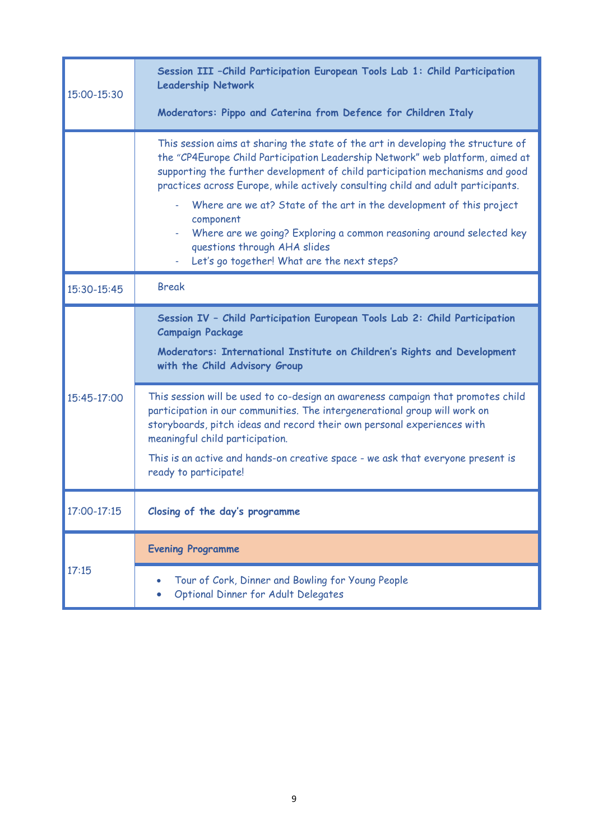| 15:00-15:30 | Session III - Child Participation European Tools Lab 1: Child Participation<br><b>Leadership Network</b><br>Moderators: Pippo and Caterina from Defence for Children Italy                                                                                                                                                                                                                                                                                                                                                                                                               |
|-------------|------------------------------------------------------------------------------------------------------------------------------------------------------------------------------------------------------------------------------------------------------------------------------------------------------------------------------------------------------------------------------------------------------------------------------------------------------------------------------------------------------------------------------------------------------------------------------------------|
|             | This session aims at sharing the state of the art in developing the structure of<br>the "CP4Europe Child Participation Leadership Network" web platform, aimed at<br>supporting the further development of child participation mechanisms and good<br>practices across Europe, while actively consulting child and adult participants.<br>Where are we at? State of the art in the development of this project<br>÷.<br>component<br>Where are we going? Exploring a common reasoning around selected key<br>questions through AHA slides<br>Let's go together! What are the next steps? |
| 15:30-15:45 | <b>Break</b>                                                                                                                                                                                                                                                                                                                                                                                                                                                                                                                                                                             |
| 15:45-17:00 | Session IV - Child Participation European Tools Lab 2: Child Participation<br><b>Campaign Package</b><br>Moderators: International Institute on Children's Rights and Development<br>with the Child Advisory Group                                                                                                                                                                                                                                                                                                                                                                       |
|             | This session will be used to co-design an awareness campaign that promotes child<br>participation in our communities. The intergenerational group will work on<br>storyboards, pitch ideas and record their own personal experiences with<br>meaningful child participation.<br>This is an active and hands-on creative space - we ask that everyone present is<br>ready to participate!                                                                                                                                                                                                 |
| 17:00-17:15 | Closing of the day's programme                                                                                                                                                                                                                                                                                                                                                                                                                                                                                                                                                           |
| 17:15       | <b>Evening Programme</b>                                                                                                                                                                                                                                                                                                                                                                                                                                                                                                                                                                 |
|             | Tour of Cork, Dinner and Bowling for Young People<br>Optional Dinner for Adult Delegates                                                                                                                                                                                                                                                                                                                                                                                                                                                                                                 |